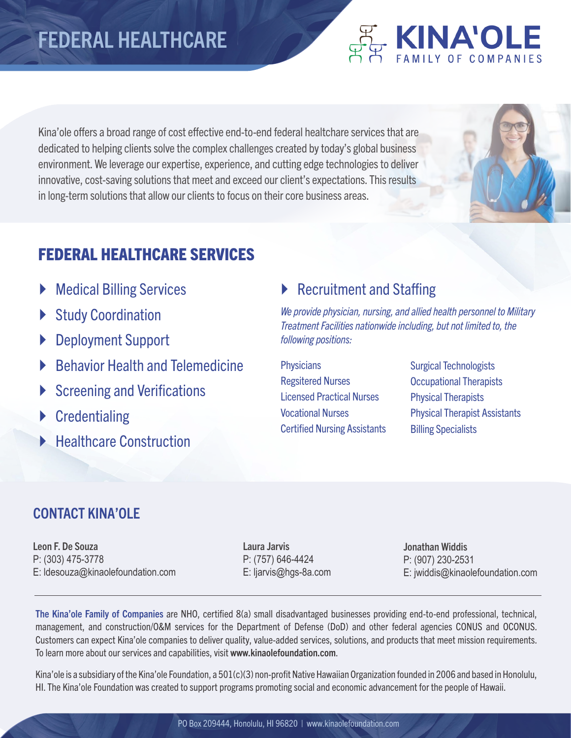## FEDERAL HEALTHCARE

Kina'ole offers a broad range of cost effective end-to-end federal healtchare services that are dedicated to helping clients solve the complex challenges created by today's global business environment. We leverage our expertise, experience, and cutting edge technologies to deliver innovative, cost-saving solutions that meet and exceed our client's expectations. This results in long-term solutions that allow our clients to focus on their core business areas.

## FEDERAL HEALTHCARE SERVICES

- **Medical Billing Services**
- Study Coordination
- ▶ Deployment Support
- ` Behavior Health and Telemedicine
- Screening and Verifications
- $\triangleright$  Credentialing
- **E.** Healthcare Construction

#### ▶ Recruitment and Staffing

*We provide physician, nursing, and allied health personnel to Military Treatment Facilities nationwide including, but not limited to, the following positions:*

**Physicians** Regsitered Nurses Licensed Practical Nurses Vocational Nurses Certified Nursing Assistants Surgical Technologists Occupational Therapists Physical Therapists Physical Therapist Assistants Billing Specialists

**ENAOLE** 

#### CONTACT KINA'OLE

Leon F. De Souza P: (303) 475-3778 E: ldesouza@kinaolefoundation.com Laura Jarvis P: (757) 646-4424 E: ljarvis@hgs-8a.com Jonathan Widdis P: (907) 230-2531 E: jwiddis@kinaolefoundation.com

The Kina'ole Family of Companies are NHO, certified 8(a) small disadvantaged businesses providing end-to-end professional, technical, management, and construction/O&M services for the Department of Defense (DoD) and other federal agencies CONUS and OCONUS. Customers can expect Kina'ole companies to deliver quality, value-added services, solutions, and products that meet mission requirements. To learn more about our services and capabilities, visit www.kinaolefoundation.com.

Kina'ole is a subsidiary of the Kina'ole Foundation, a 501(c)(3) non-profit Native Hawaiian Organization founded in 2006 and based in Honolulu, HI. The Kina'ole Foundation was created to support programs promoting social and economic advancement for the people of Hawaii.